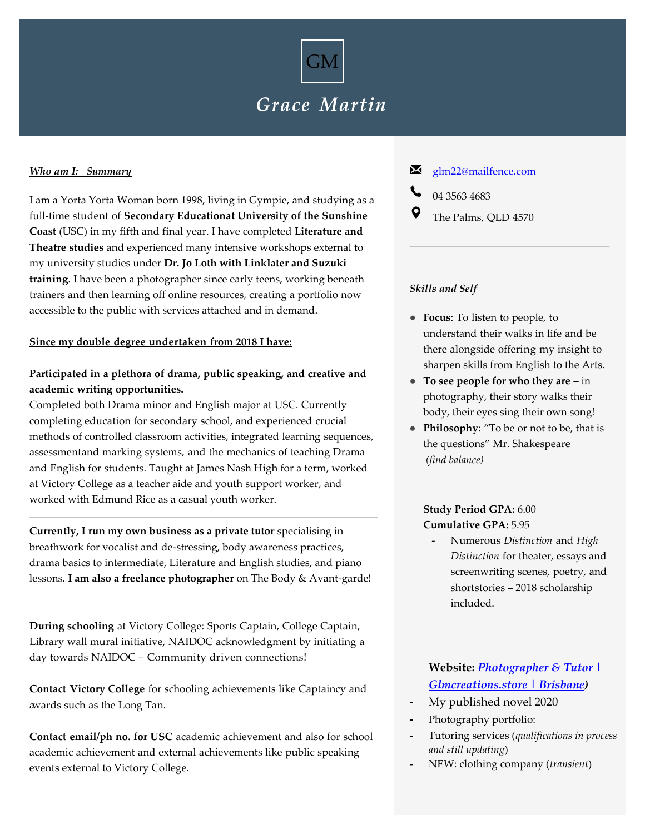

# *Grace Martin*

#### *Who am I: Summary*

I am a Yorta Yorta Woman born 1998, living in Gympie, and studying as a full-time student of **Secondary Educationat University of the Sunshine Coast** (USC) in my fifth and final year. I have completed **Literature and Theatre studies** and experienced many intensive workshops external to my university studies under **Dr. Jo Loth with Linklater and Suzuki training**. I have been a photographer since early teens, working beneath trainers and then learning off online resources, creating a portfolio now accessible to the public with services attached and in demand.

### **Since my double degree undertaken from 2018 I have:**

### **Participated in a plethora of drama, public speaking, and creative and academic writing opportunities.**

Completed both Drama minor and English major at USC. Currently completing education for secondary school, and experienced crucial methods of controlled classroom activities, integrated learning sequences, assessmentand marking systems, and the mechanics of teaching Drama and English for students. Taught at James Nash High for a term, worked at Victory College as a teacher aide and youth support worker, and worked with Edmund Rice as a casual youth worker.

**Currently, I run my own business as a private tutor** specialising in breathwork for vocalist and de-stressing, body awareness practices, drama basics to intermediate, Literature and English studies, and piano lessons. **I am also a freelance photographer** on The Body & Avant-garde!

**During schooling** at Victory College: Sports Captain, College Captain, Library wall mural initiative, NAIDOC acknowledgment by initiating a day towards NAIDOC – Community driven connections!

**Contact Victory College** for schooling achievements like Captaincy and awards such as the Long Tan.

**Contact email/ph no. for USC** academic achievement and also for school academic achievement and external achievements like public speaking events external to Victory College.

### [glm22@mailfence.com](mailto:glm22@mailfence.com)

- 04 3563 4683
- The Palms, QLD 4570

#### *Skills and Self*

- **Focus**: To listen to people, to understand their walks in life and be there alongside offering my insight to sharpen skills from English to the Arts.
- **To see people for who they are**  in photography, their story walks their body, their eyes sing their own song!
- **Philosophy**: "To be or not to be, that is the questions" Mr. Shakespeare *(find balance)*

### **Study Period GPA:** 6.00 **Cumulative GPA:** 5.95

- Numerous *Distinction* and *High Distinction* for theater, essays and screenwriting scenes, poetry, and shortstories – 2018 scholarship included.

## **Website:** *[Photographer & Tutor |](https://www.glmcreations.store/)  [Glmcreations.store | Brisbane\)](https://www.glmcreations.store/)*

- **-** My published novel 2020
- **-** Photography portfolio:
- **-** Tutoring services (*qualifications in process and still updating*)
- **-** NEW: clothing company (*transient*)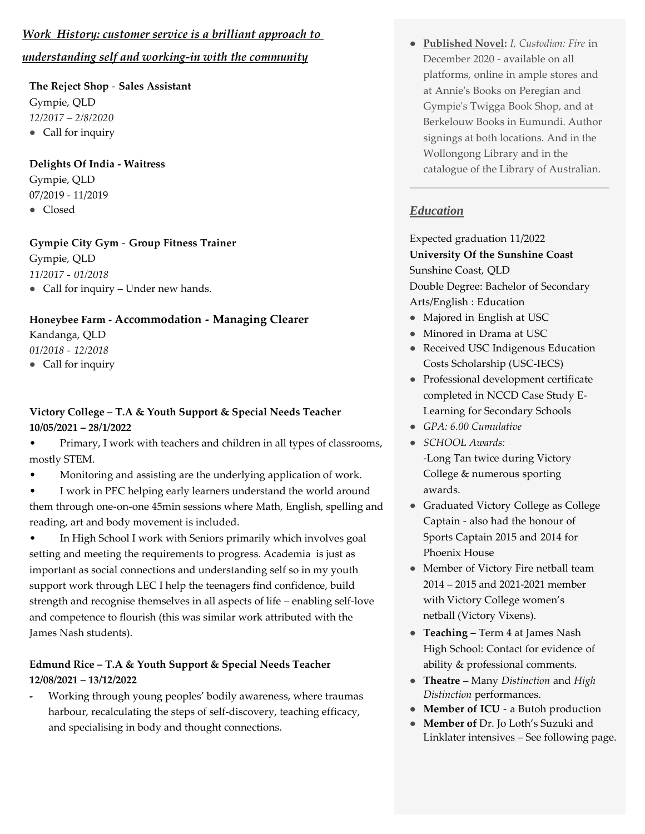## *Work History: customer service is a brilliant approach to understanding self and working-in with the community*

**The Reject Shop** - **Sales Assistant** Gympie, QLD *12/2017 – 2/8/2020* ● Call for inquiry

**Delights Of India - Waitress** Gympie, QLD 07/2019 - 11/2019 ● Closed

**Gympie City Gym** - **Group Fitness Trainer** Gympie, QLD *11/2017 - 01/2018* • Call for inquiry – Under new hands.

### **Honeybee Farm - Accommodation - Managing Clearer**

Kandanga, QLD *01/2018 - 12/2018*

● Call for inquiry

## **Victory College – T.A & Youth Support & Special Needs Teacher 10/05/2021 – 28/1/2022**

• Primary, I work with teachers and children in all types of classrooms, mostly STEM.

• Monitoring and assisting are the underlying application of work.

I work in PEC helping early learners understand the world around them through one-on-one 45min sessions where Math, English, spelling and reading, art and body movement is included.

• In High School I work with Seniors primarily which involves goal setting and meeting the requirements to progress. Academia is just as important as social connections and understanding self so in my youth support work through LEC I help the teenagers find confidence, build strength and recognise themselves in all aspects of life – enabling self-love and competence to flourish (this was similar work attributed with the James Nash students).

## **Edmund Rice – T.A & Youth Support & Special Needs Teacher 12/08/2021 – 13/12/2022**

**-** Working through young peoples' bodily awareness, where traumas harbour, recalculating the steps of self-discovery, teaching efficacy, and specialising in body and thought connections.

● **Published Novel:** *I, Custodian: Fire* in December 2020 - available on all platforms, online in ample stores and at Annie's Books on Peregian and Gympie's Twigga Book Shop, and at Berkelouw Books in Eumundi. Author signings at both locations. And in the Wollongong Library and in the catalogue of the Library of Australian.

## *Education*

Expected graduation 11/2022 **University Of the Sunshine Coast** Sunshine Coast, QLD Double Degree: Bachelor of Secondary Arts/English : Education

- Majored in English at USC
- Minored in Drama at USC
- Received USC Indigenous Education Costs Scholarship (USC-IECS)
- Professional development certificate completed in NCCD Case Study E-Learning for Secondary Schools
- *GPA: 6.00 Cumulative*
- *SCHOOL Awards:*
	- -Long Tan twice during Victory College & numerous sporting awards.
- Graduated Victory College as College Captain - also had the honour of Sports Captain 2015 and 2014 for Phoenix House
- Member of Victory Fire netball team 2014 – 2015 and 2021-2021 member with Victory College women's netball (Victory Vixens).
- **Teaching** Term 4 at James Nash High School: Contact for evidence of ability & professional comments.
- **Theatre** Many *Distinction* and *High Distinction* performances.
- **Member of ICU** a Butoh production
- **Member of** Dr. Jo Loth's Suzuki and Linklater intensives – See following page.